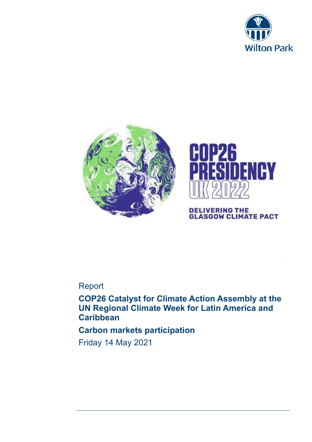





**DELIVERING THE<br>GLASGOW CLIMATE PACT** 

:

# Report

**COP26 Catalyst for Climate Action Assembly at the UN Regional Climate Week for Latin America and Caribbean** 

# **Carbon markets participation**

Friday 14 May 2021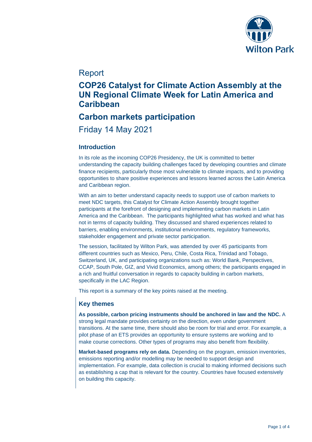

# Report

# **COP26 Catalyst for Climate Action Assembly at the UN Regional Climate Week for Latin America and Caribbean**

# **Carbon markets participation**

Friday 14 May 2021

## **Introduction**

In its role as the incoming COP26 Presidency, the UK is committed to better understanding the capacity building challenges faced by developing countries and climate finance recipients, particularly those most vulnerable to climate impacts, and to providing opportunities to share positive experiences and lessons learned across the Latin America and Caribbean region.

With an aim to better understand capacity needs to support use of carbon markets to meet NDC targets, this Catalyst for Climate Action Assembly brought together participants at the forefront of designing and implementing carbon markets in Latin America and the Caribbean. The participants highlighted what has worked and what has not in terms of capacity building. They discussed and shared experiences related to barriers, enabling environments, institutional environments, regulatory frameworks, stakeholder engagement and private sector participation.

The session, facilitated by Wilton Park, was attended by over 45 participants from different countries such as Mexico, Peru, Chile, Costa Rica, Trinidad and Tobago, Switzerland, UK, and participating organizations such as: World Bank, Perspectives, CCAP, South Pole, GIZ, and Vivid Economics, among others; the participants engaged in a rich and fruitful conversation in regards to capacity building in carbon markets, specifically in the LAC Region.

This report is a summary of the key points raised at the meeting.

## **Key themes**

**As possible, carbon pricing instruments should be anchored in law and the NDC.** A strong legal mandate provides certainty on the direction, even under government transitions. At the same time, there should also be room for trial and error. For example, a pilot phase of an ETS provides an opportunity to ensure systems are working and to make course corrections. Other types of programs may also benefit from flexibility.

**Market-based programs rely on data.** Depending on the program, emission inventories, emissions reporting and/or modelling may be needed to support design and implementation. For example, data collection is crucial to making informed decisions such as establishing a cap that is relevant for the country. Countries have focused extensively on building this capacity.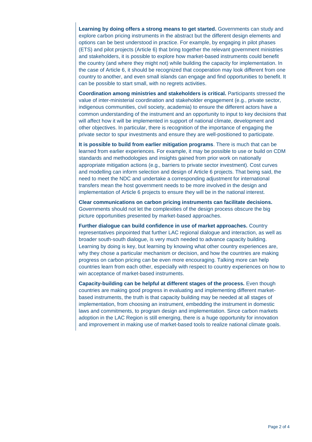**Learning by doing offers a strong means to get started.** Governments can study and explore carbon pricing instruments in the abstract but the different design elements and options can be best understood in practice. For example, by engaging in pilot phases (ETS) and pilot projects (Article 6) that bring together the relevant government ministries and stakeholders, it is possible to explore how market-based instruments could benefit the country (and where they might not) while building the capacity for implementation. In the case of Article 6, it should be recognized that cooperation may look different from one country to another, and even small islands can engage and find opportunities to benefit. It can be possible to start small, with no regrets activities.

**Coordination among ministries and stakeholders is critical.** Participants stressed the value of inter-ministerial coordination and stakeholder engagement (e.g., private sector, indigenous communities, civil society, academia) to ensure the different actors have a common understanding of the instrument and an opportunity to input to key decisions that will affect how it will be implemented in support of national climate, development and other objectives. In particular, there is recognition of the importance of engaging the private sector to spur investments and ensure they are well-positioned to participate.

**It is possible to build from earlier mitigation programs**. There is much that can be learned from earlier experiences. For example, it may be possible to use or build on CDM standards and methodologies and insights gained from prior work on nationally appropriate mitigation actions (e.g., barriers to private sector investment). Cost curves and modelling can inform selection and design of Article 6 projects. That being said, the need to meet the NDC and undertake a corresponding adjustment for international transfers mean the host government needs to be more involved in the design and implementation of Article 6 projects to ensure they will be in the national interest.

**Clear communications on carbon pricing instruments can facilitate decisions.** Governments should not let the complexities of the design process obscure the big picture opportunities presented by market-based approaches.

**Further dialogue can build confidence in use of market approaches.** Country representatives pinpointed that further LAC regional dialogue and interaction, as well as broader south-south dialogue, is very much needed to advance capacity building. Learning by doing is key, but learning by knowing what other country experiences are, why they chose a particular mechanism or decision, and how the countries are making progress on carbon pricing can be even more encouraging. Talking more can help countries learn from each other, especially with respect to country experiences on how to win acceptance of market-based instruments.

**Capacity-building can be helpful at different stages of the process.** Even though countries are making good progress in evaluating and implementing different marketbased instruments, the truth is that capacity building may be needed at all stages of implementation, from choosing an instrument, embedding the instrument in domestic laws and commitments, to program design and implementation. Since carbon markets adoption in the LAC Region is still emerging, there is a huge opportunity for innovation and improvement in making use of market-based tools to realize national climate goals.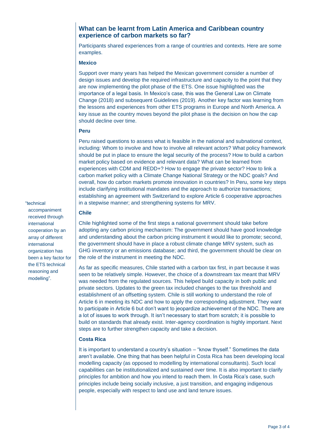## **What can be learnt from Latin America and Caribbean country experience of carbon markets so far?**

Participants shared experiences from a range of countries and contexts. Here are some examples.

#### **Mexico**

Support over many years has helped the Mexican government consider a number of design issues and develop the required infrastructure and capacity to the point that they are now implementing the pilot phase of the ETS. One issue highlighted was the importance of a legal basis. In Mexico's case, this was the General Law on Climate Change (2018) and subsequent Guidelines (2019). Another key factor was learning from the lessons and experiences from other ETS programs in Europe and North America. A key issue as the country moves beyond the pilot phase is the decision on how the cap should decline over time.

#### **Peru**

Peru raised questions to assess what is feasible in the national and subnational context, including: Whom to involve and how to involve all relevant actors? What policy framework should be put in place to ensure the legal security of the process? How to build a carbon market policy based on evidence and relevant data? What can be learned from experiences with CDM and REDD+? How to engage the private sector? How to link a carbon market policy with a Climate Change National Strategy or the NDC goals? And overall, how do carbon markets promote innovation in countries? In Peru, some key steps include clarifying institutional mandates and the approach to authorize transactions; establishing an agreement with Switzerland to explore Article 6 cooperative approaches in a stepwise manner; and strengthening systems for MRV.

#### "technical

accompaniment received through international cooperation by an array of different international organization has been a key factor for the ETS technical reasoning and modelling".

### **Chile**

Chile highlighted some of the first steps a national government should take before adopting any carbon pricing mechanism: The government should have good knowledge and understanding about the carbon pricing instrument it would like to promote; second, the government should have in place a robust climate change MRV system, such as GHG inventory or an emissions database; and third, the government should be clear on the role of the instrument in meeting the NDC.

As far as specific measures, Chile started with a carbon tax first, in part because it was seen to be relatively simple. However, the choice of a downstream tax meant that MRV was needed from the regulated sources. This helped build capacity in both public and private sectors. Updates to the green tax included changes to the tax threshold and establishment of an offsetting system. Chile is still working to understand the role of Article 6 in meeting its NDC and how to apply the corresponding adjustment. They want to participate in Article 6 but don't want to jeopardize achievement of the NDC. There are a lot of issues to work through. It isn't necessary to start from scratch; it is possible to build on standards that already exist. Inter-agency coordination is highly important. Next steps are to further strengthen capacity and take a decision.

### **Costa Rica**

It is important to understand a country's situation – "know thyself." Sometimes the data aren't available. One thing that has been helpful in Costa Rica has been developing local modelling capacity (as opposed to modelling by international consultants). Such local capabilities can be institutionalized and sustained over time. It is also important to clarify principles for ambition and how you intend to reach them. In Costa Rica's case, such principles include being socially inclusive, a just transition, and engaging indigenous people, especially with respect to land use and land tenure issues.